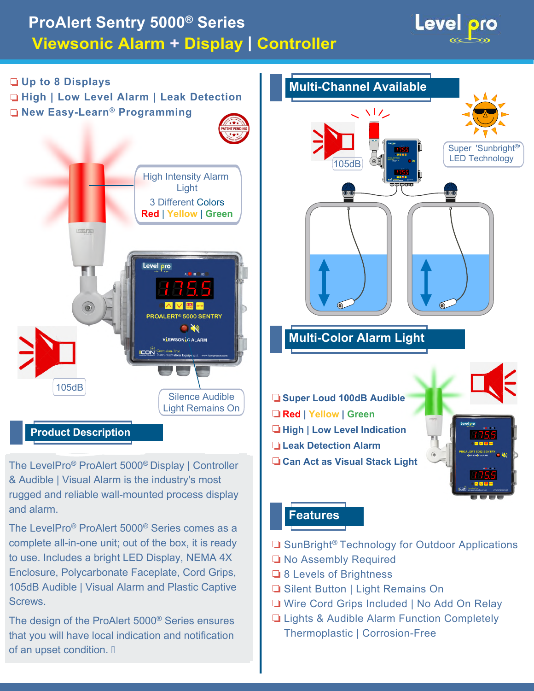# **ProAlert Sentry 5000® Series Viewsonic Alarm + Display | Controller**





The LevelPro® ProAlert 5000® Display | Controller & Audible | Visual Alarm is the industry's most rugged and reliable wall-mounted process display and alarm.

The LevelPro® ProAlert 5000® Series comes as a complete all-in-one unit; out of the box, it is ready to use. Includes a bright LED Display, NEMA 4X Enclosure, Polycarbonate Faceplate, Cord Grips, 105dB Audible | Visual Alarm and Plastic Captive Screws.

The design of the ProAlert 5000® Series ensures that you will have local indication and notification of an upset condition.



### **Features**

- **■** SunBright<sup>®</sup> Technology for Outdoor Applications
- No Assembly Required
- **8 Levels of Brightness**
- **■** Silent Button | Light Remains On
- Wire Cord Grips Included | No Add On Relay
- **Lights & Audible Alarm Function Completely** Thermoplastic | Corrosion-Free